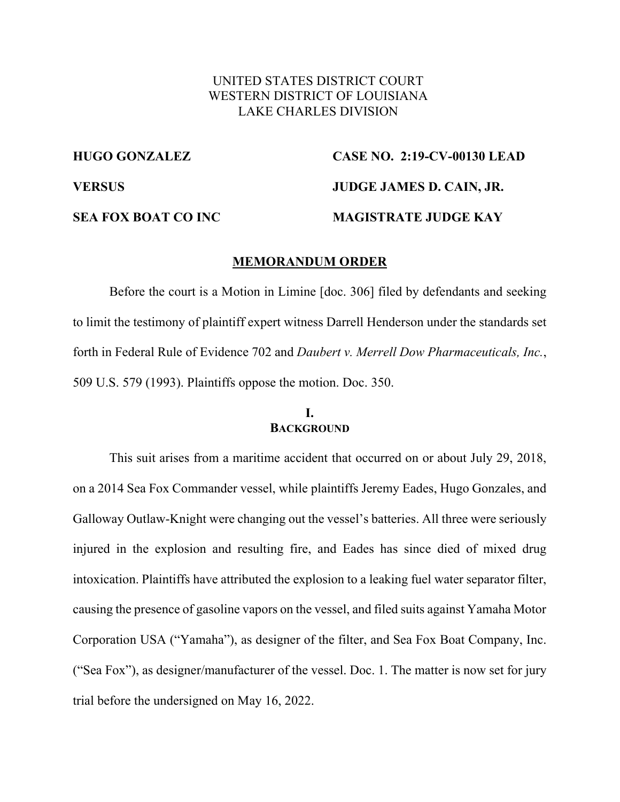# UNITED STATES DISTRICT COURT WESTERN DISTRICT OF LOUISIANA LAKE CHARLES DIVISION

# **HUGO GONZALEZ CASE NO. 2:19-CV-00130 LEAD VERSUS JUDGE JAMES D. CAIN, JR. SEA FOX BOAT CO INC MAGISTRATE JUDGE KAY**

#### **MEMORANDUM ORDER**

Before the court is a Motion in Limine [doc. 306] filed by defendants and seeking to limit the testimony of plaintiff expert witness Darrell Henderson under the standards set forth in Federal Rule of Evidence 702 and *Daubert v. Merrell Dow Pharmaceuticals, Inc.*, 509 U.S. 579 (1993). Plaintiffs oppose the motion. Doc. 350.

### **I. BACKGROUND**

This suit arises from a maritime accident that occurred on or about July 29, 2018, on a 2014 Sea Fox Commander vessel, while plaintiffs Jeremy Eades, Hugo Gonzales, and Galloway Outlaw-Knight were changing out the vessel's batteries. All three were seriously injured in the explosion and resulting fire, and Eades has since died of mixed drug intoxication. Plaintiffs have attributed the explosion to a leaking fuel water separator filter, causing the presence of gasoline vapors on the vessel, and filed suits against Yamaha Motor Corporation USA ("Yamaha"), as designer of the filter, and Sea Fox Boat Company, Inc. ("Sea Fox"), as designer/manufacturer of the vessel. Doc. 1. The matter is now set for jury trial before the undersigned on May 16, 2022.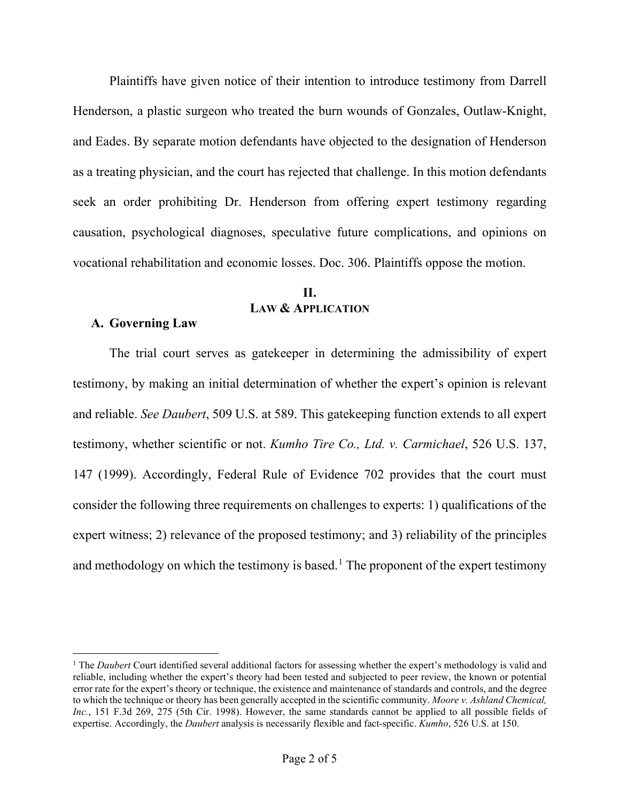Plaintiffs have given notice of their intention to introduce testimony from Darrell Henderson, a plastic surgeon who treated the burn wounds of Gonzales, Outlaw-Knight, and Eades. By separate motion defendants have objected to the designation of Henderson as a treating physician, and the court has rejected that challenge. In this motion defendants seek an order prohibiting Dr. Henderson from offering expert testimony regarding causation, psychological diagnoses, speculative future complications, and opinions on vocational rehabilitation and economic losses. Doc. 306. Plaintiffs oppose the motion.

# **II. LAW & APPLICATION**

### **A. Governing Law**

The trial court serves as gatekeeper in determining the admissibility of expert testimony, by making an initial determination of whether the expert's opinion is relevant and reliable. *See Daubert*, 509 U.S. at 589. This gatekeeping function extends to all expert testimony, whether scientific or not. *Kumho Tire Co., Ltd. v. Carmichael*, 526 U.S. 137, 147 (1999). Accordingly, Federal Rule of Evidence 702 provides that the court must consider the following three requirements on challenges to experts: 1) qualifications of the expert witness; 2) relevance of the proposed testimony; and 3) reliability of the principles and methodology on which the testimony is based.<sup>1</sup> The proponent of the expert testimony

<sup>&</sup>lt;sup>1</sup> The *Daubert* Court identified several additional factors for assessing whether the expert's methodology is valid and reliable, including whether the expert's theory had been tested and subjected to peer review, the known or potential error rate for the expert's theory or technique, the existence and maintenance of standards and controls, and the degree to which the technique or theory has been generally accepted in the scientific community. *Moore v. Ashland Chemical, Inc.*, 151 F.3d 269, 275 (5th Cir. 1998). However, the same standards cannot be applied to all possible fields of expertise. Accordingly, the *Daubert* analysis is necessarily flexible and fact-specific. *Kumho*, 526 U.S. at 150.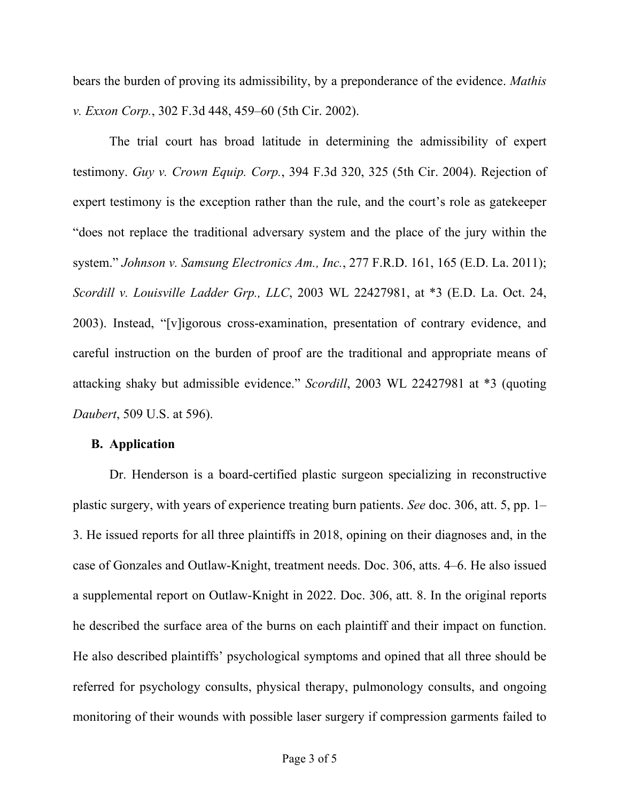bears the burden of proving its admissibility, by a preponderance of the evidence. *Mathis v. Exxon Corp.*, 302 F.3d 448, 459–60 (5th Cir. 2002).

The trial court has broad latitude in determining the admissibility of expert testimony. *Guy v. Crown Equip. Corp.*, 394 F.3d 320, 325 (5th Cir. 2004). Rejection of expert testimony is the exception rather than the rule, and the court's role as gatekeeper "does not replace the traditional adversary system and the place of the jury within the system." *Johnson v. Samsung Electronics Am., Inc.*, 277 F.R.D. 161, 165 (E.D. La. 2011); *Scordill v. Louisville Ladder Grp., LLC*, 2003 WL 22427981, at \*3 (E.D. La. Oct. 24, 2003). Instead, "[v]igorous cross-examination, presentation of contrary evidence, and careful instruction on the burden of proof are the traditional and appropriate means of attacking shaky but admissible evidence." *Scordill*, 2003 WL 22427981 at \*3 (quoting *Daubert*, 509 U.S. at 596).

### **B. Application**

Dr. Henderson is a board-certified plastic surgeon specializing in reconstructive plastic surgery, with years of experience treating burn patients. *See* doc. 306, att. 5, pp. 1– 3. He issued reports for all three plaintiffs in 2018, opining on their diagnoses and, in the case of Gonzales and Outlaw-Knight, treatment needs. Doc. 306, atts. 4–6. He also issued a supplemental report on Outlaw-Knight in 2022. Doc. 306, att. 8. In the original reports he described the surface area of the burns on each plaintiff and their impact on function. He also described plaintiffs' psychological symptoms and opined that all three should be referred for psychology consults, physical therapy, pulmonology consults, and ongoing monitoring of their wounds with possible laser surgery if compression garments failed to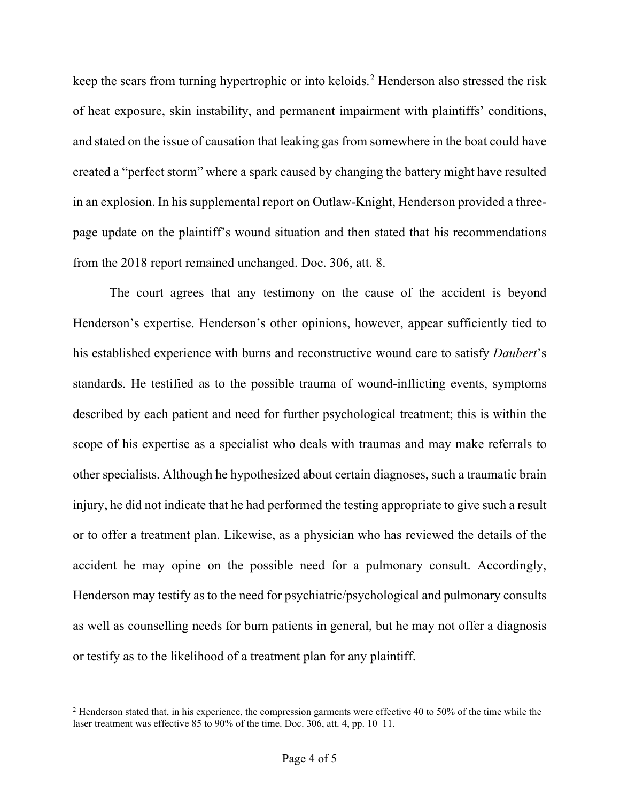keep the scars from turning hypertrophic or into keloids.<sup>2</sup> Henderson also stressed the risk of heat exposure, skin instability, and permanent impairment with plaintiffs' conditions, and stated on the issue of causation that leaking gas from somewhere in the boat could have created a "perfect storm" where a spark caused by changing the battery might have resulted in an explosion. In his supplemental report on Outlaw-Knight, Henderson provided a threepage update on the plaintiff's wound situation and then stated that his recommendations from the 2018 report remained unchanged. Doc. 306, att. 8.

The court agrees that any testimony on the cause of the accident is beyond Henderson's expertise. Henderson's other opinions, however, appear sufficiently tied to his established experience with burns and reconstructive wound care to satisfy *Daubert*'s standards. He testified as to the possible trauma of wound-inflicting events, symptoms described by each patient and need for further psychological treatment; this is within the scope of his expertise as a specialist who deals with traumas and may make referrals to other specialists. Although he hypothesized about certain diagnoses, such a traumatic brain injury, he did not indicate that he had performed the testing appropriate to give such a result or to offer a treatment plan. Likewise, as a physician who has reviewed the details of the accident he may opine on the possible need for a pulmonary consult. Accordingly, Henderson may testify as to the need for psychiatric/psychological and pulmonary consults as well as counselling needs for burn patients in general, but he may not offer a diagnosis or testify as to the likelihood of a treatment plan for any plaintiff.

 $2$  Henderson stated that, in his experience, the compression garments were effective 40 to 50% of the time while the laser treatment was effective 85 to 90% of the time. Doc. 306, att. 4, pp. 10–11.